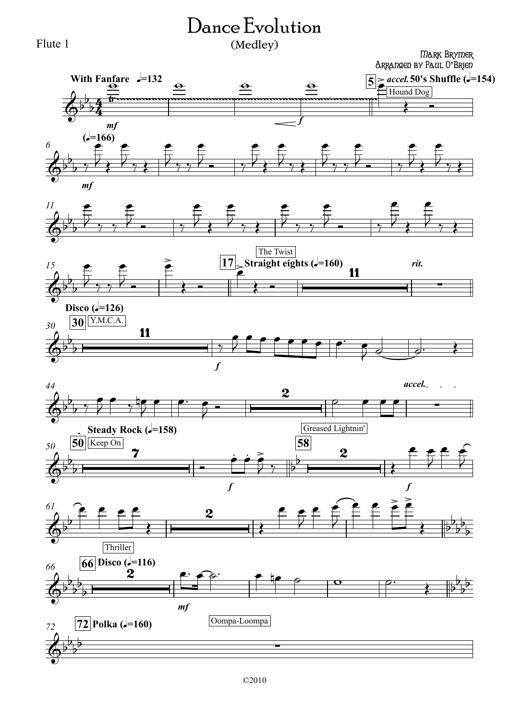## Dance Evolution (Medley)



## Mark Brymer Arranged by Paul O**'**Brien













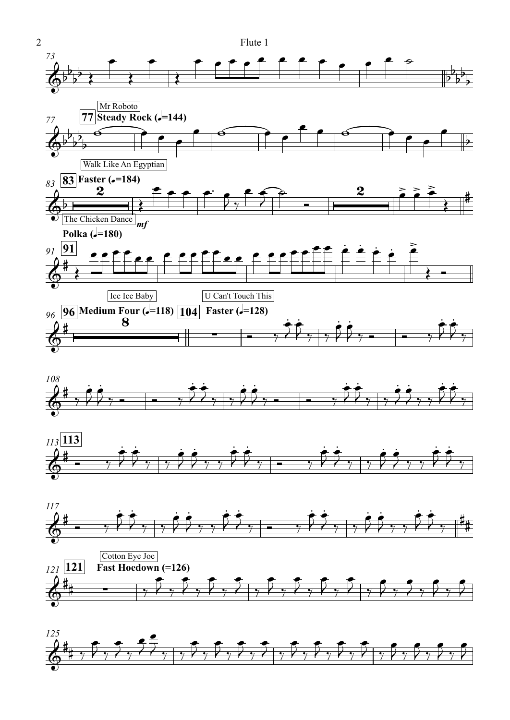